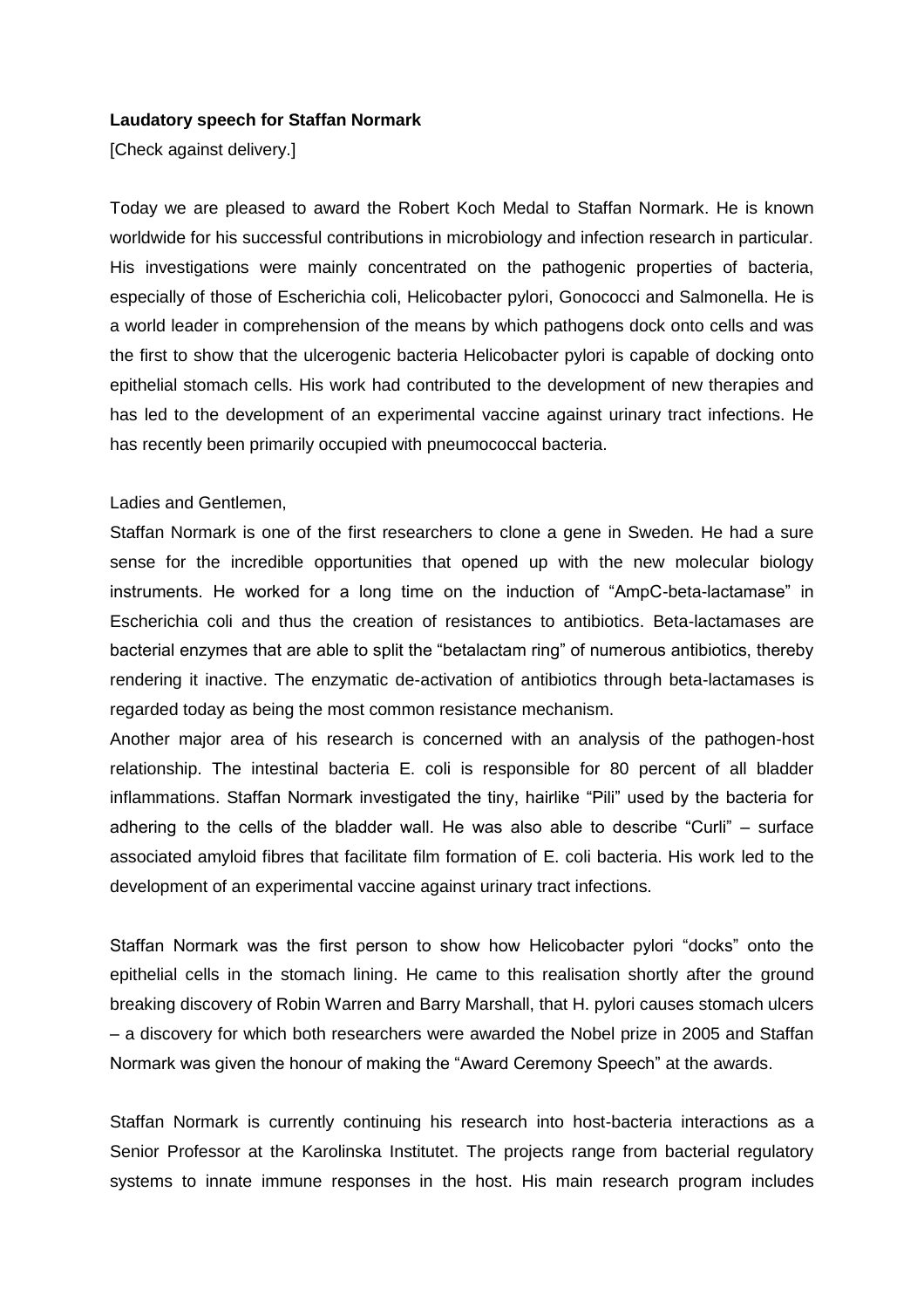## **Laudatory speech for Staffan Normark**

[Check against delivery.]

Today we are pleased to award the Robert Koch Medal to Staffan Normark. He is known worldwide for his successful contributions in microbiology and infection research in particular. His investigations were mainly concentrated on the pathogenic properties of bacteria, especially of those of Escherichia coli, Helicobacter pylori, Gonococci and Salmonella. He is a world leader in comprehension of the means by which pathogens dock onto cells and was the first to show that the ulcerogenic bacteria Helicobacter pylori is capable of docking onto epithelial stomach cells. His work had contributed to the development of new therapies and has led to the development of an experimental vaccine against urinary tract infections. He has recently been primarily occupied with pneumococcal bacteria.

## Ladies and Gentlemen,

Staffan Normark is one of the first researchers to clone a gene in Sweden. He had a sure sense for the incredible opportunities that opened up with the new molecular biology instruments. He worked for a long time on the induction of "AmpC-beta-lactamase" in Escherichia coli and thus the creation of resistances to antibiotics. Beta-lactamases are bacterial enzymes that are able to split the "betalactam ring" of numerous antibiotics, thereby rendering it inactive. The enzymatic de-activation of antibiotics through beta-lactamases is regarded today as being the most common resistance mechanism.

Another major area of his research is concerned with an analysis of the pathogen-host relationship. The intestinal bacteria E. coli is responsible for 80 percent of all bladder inflammations. Staffan Normark investigated the tiny, hairlike "Pili" used by the bacteria for adhering to the cells of the bladder wall. He was also able to describe "Curli" – surface associated amyloid fibres that facilitate film formation of E. coli bacteria. His work led to the development of an experimental vaccine against urinary tract infections.

Staffan Normark was the first person to show how Helicobacter pylori "docks" onto the epithelial cells in the stomach lining. He came to this realisation shortly after the ground breaking discovery of Robin Warren and Barry Marshall, that H. pylori causes stomach ulcers – a discovery for which both researchers were awarded the Nobel prize in 2005 and Staffan Normark was given the honour of making the "Award Ceremony Speech" at the awards.

Staffan Normark is currently continuing his research into host-bacteria interactions as a Senior Professor at the Karolinska Institutet. The projects range from bacterial regulatory systems to innate immune responses in the host. His main research program includes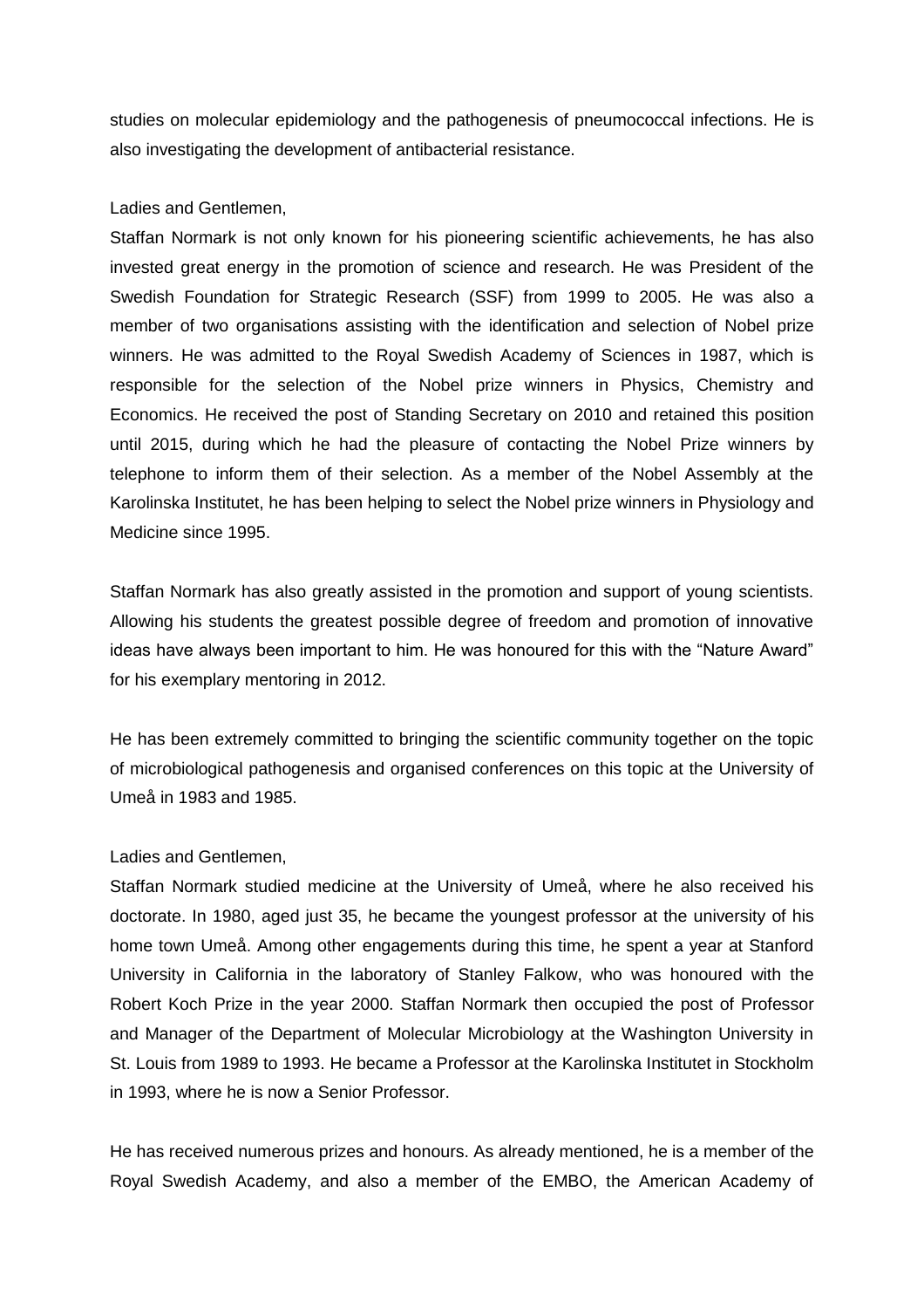studies on molecular epidemiology and the pathogenesis of pneumococcal infections. He is also investigating the development of antibacterial resistance.

## Ladies and Gentlemen,

Staffan Normark is not only known for his pioneering scientific achievements, he has also invested great energy in the promotion of science and research. He was President of the Swedish Foundation for Strategic Research (SSF) from 1999 to 2005. He was also a member of two organisations assisting with the identification and selection of Nobel prize winners. He was admitted to the Royal Swedish Academy of Sciences in 1987, which is responsible for the selection of the Nobel prize winners in Physics, Chemistry and Economics. He received the post of Standing Secretary on 2010 and retained this position until 2015, during which he had the pleasure of contacting the Nobel Prize winners by telephone to inform them of their selection. As a member of the Nobel Assembly at the Karolinska Institutet, he has been helping to select the Nobel prize winners in Physiology and Medicine since 1995.

Staffan Normark has also greatly assisted in the promotion and support of young scientists. Allowing his students the greatest possible degree of freedom and promotion of innovative ideas have always been important to him. He was honoured for this with the "Nature Award" for his exemplary mentoring in 2012.

He has been extremely committed to bringing the scientific community together on the topic of microbiological pathogenesis and organised conferences on this topic at the University of Umeå in 1983 and 1985.

## Ladies and Gentlemen,

Staffan Normark studied medicine at the University of Umeå, where he also received his doctorate. In 1980, aged just 35, he became the youngest professor at the university of his home town Umeå. Among other engagements during this time, he spent a year at Stanford University in California in the laboratory of Stanley Falkow, who was honoured with the Robert Koch Prize in the year 2000. Staffan Normark then occupied the post of Professor and Manager of the Department of Molecular Microbiology at the Washington University in St. Louis from 1989 to 1993. He became a Professor at the Karolinska Institutet in Stockholm in 1993, where he is now a Senior Professor.

He has received numerous prizes and honours. As already mentioned, he is a member of the Royal Swedish Academy, and also a member of the EMBO, the American Academy of